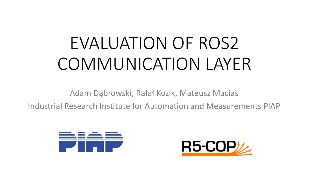# EVALUATION OF ROS2 COMMUNICATION LAYER

Adam Dąbrowski, Rafał Kozik, Mateusz Maciaś

Industrial Research Institute for Automation and Measurements PIAP



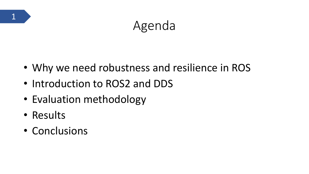# Agenda

- Why we need robustness and resilience in ROS
- Introduction to ROS2 and DDS
- Evaluation methodology
- Results

1

• Conclusions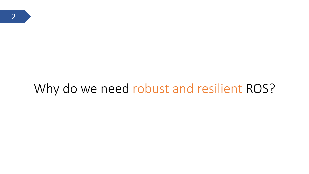# Why do we need robust and resilient ROS?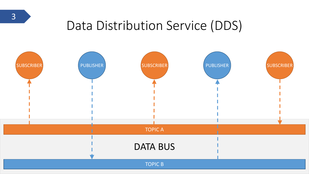# Data Distribution Service (DDS)

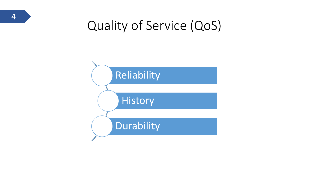# Quality of Service (QoS)

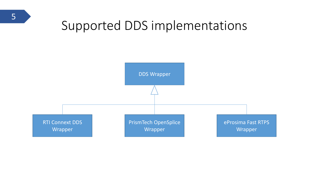## Supported DDS implementations

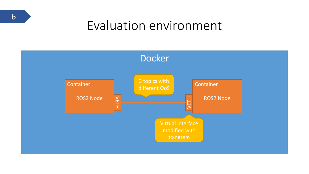#### Evaluation environment



6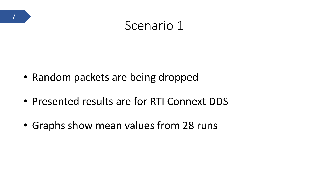

#### Scenario 1

- Random packets are being dropped
- Presented results are for RTI Connext DDS
- Graphs show mean values from 28 runs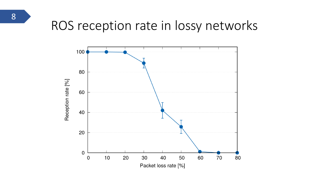## ROS reception rate in lossy networks

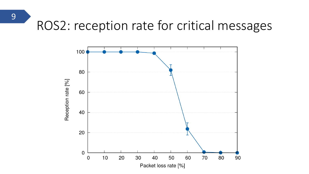# ROS2: reception rate for critical messages



9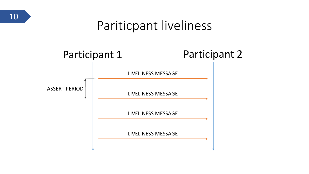

## Pariticpant liveliness

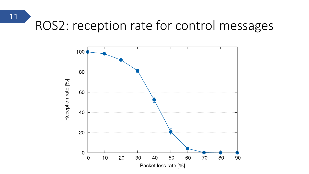# ROS2: reception rate for control messages



11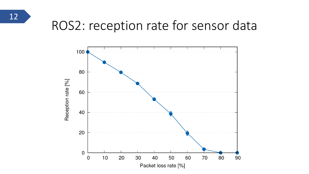

# ROS2: reception rate for sensor data

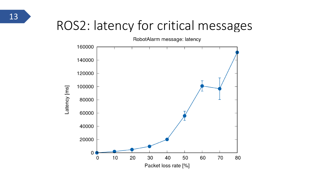# ROS2: latency for critical messages

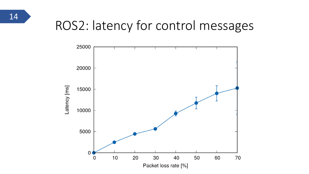

# ROS2: latency for control messages

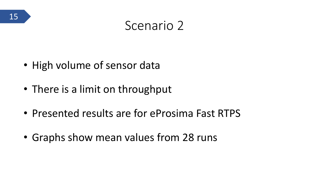#### Scenario 2

- High volume of sensor data
- There is a limit on throughput
- Presented results are for eProsima Fast RTPS
- Graphs show mean values from 28 runs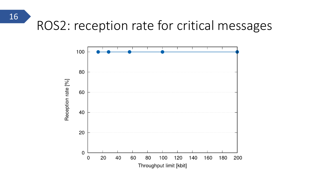# ROS2: reception rate for critical messages



16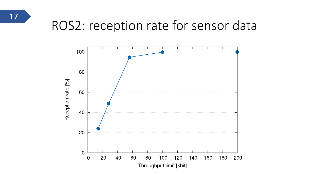

# ROS2: reception rate for sensor data

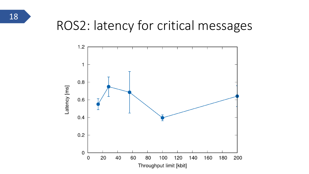

## ROS2: latency for critical messages

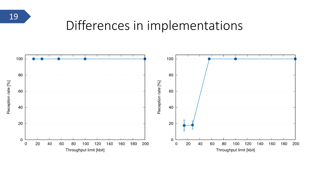#### Differences in implementations

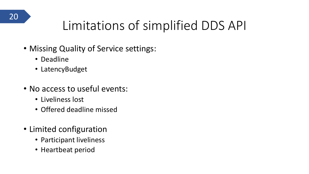

# Limitations of simplified DDS API

- Missing Quality of Service settings:
	- Deadline
	- LatencyBudget
- No access to useful events:
	- Liveliness lost
	- Offered deadline missed
- Limited configuration
	- Participant liveliness
	- Heartbeat period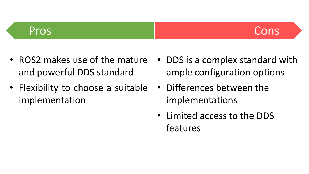#### Pros Constanting Constanting Constanting Constanting Constanting Constanting Constanting Constanting Constanting Constanting Constanting Constanting Constanting Constanting Constanting Constanting Constanting Constanting C

- ROS2 makes use of the mature and powerful DDS standard
- Flexibility to choose a suitable implementation
- DDS is a complex standard with ample configuration options
- Differences between the implementations
- Limited access to the DDS features